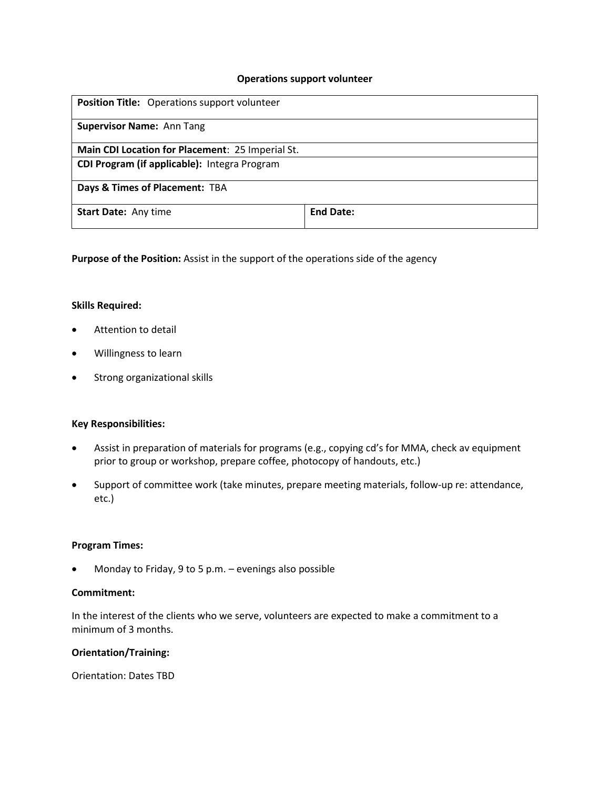### **Operations support volunteer**

| <b>Position Title:</b> Operations support volunteer |                  |
|-----------------------------------------------------|------------------|
| <b>Supervisor Name: Ann Tang</b>                    |                  |
| Main CDI Location for Placement: 25 Imperial St.    |                  |
| CDI Program (if applicable): Integra Program        |                  |
| Days & Times of Placement: TBA                      |                  |
| <b>Start Date: Any time</b>                         | <b>End Date:</b> |

**Purpose of the Position:** Assist in the support of the operations side of the agency

#### **Skills Required:**

- Attention to detail
- Willingness to learn
- **•** Strong organizational skills

#### **Key Responsibilities:**

- Assist in preparation of materials for programs (e.g., copying cd's for MMA, check av equipment prior to group or workshop, prepare coffee, photocopy of handouts, etc.)
- Support of committee work (take minutes, prepare meeting materials, follow-up re: attendance, etc.)

## **Program Times:**

Monday to Friday, 9 to 5 p.m. – evenings also possible

## **Commitment:**

In the interest of the clients who we serve, volunteers are expected to make a commitment to a minimum of 3 months.

### **Orientation/Training:**

Orientation: Dates TBD